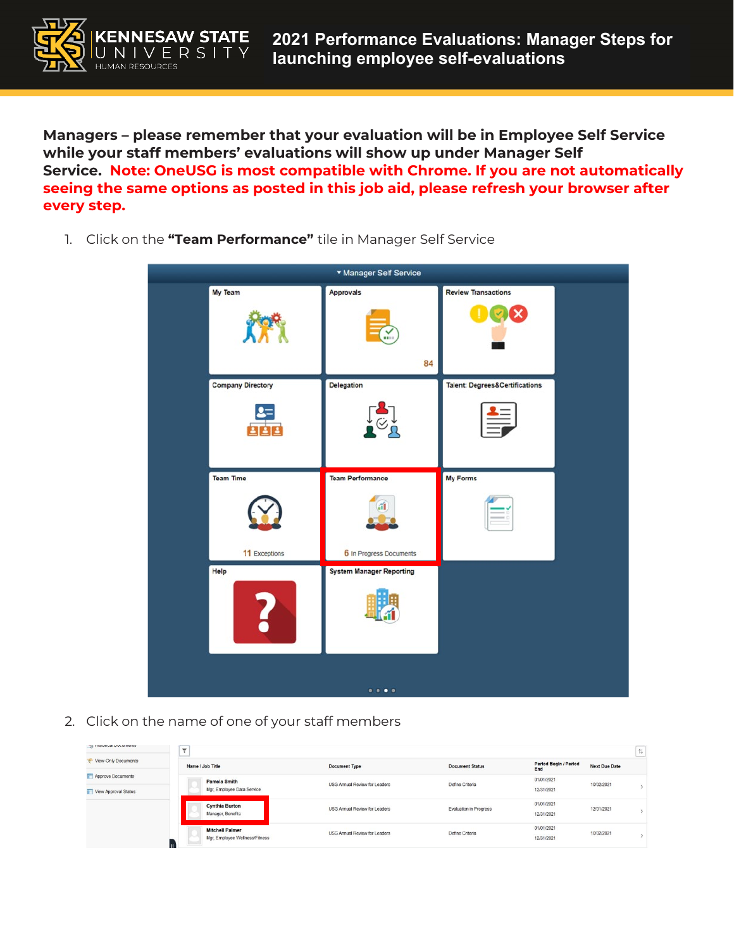

**Managers – please remember that your evaluation will be in Employee Self Service while your staff members' evaluations will show up under Manager Self Service. Note: OneUSG is most compatible with Chrome. If you are not automatically seeing the same options as posted in this job aid, please refresh your browser after every step.**

- \* Manager Self Service My Team **Review Transactions** Approvals 84 Delegation **Company Directory Talent: Degrees&Certifications**  $2 =$ **BBB** Team Performance My Forms **Team Time** 11 Exceptions 6 In Progress Documents Help **System Manager Reporting**  $......$
- 1. Click on the **"Team Performance"** tile in Manager Self Service

2. Click on the name of one of your staff members

| <b>Supramed normingers</b> | $\mathbf{v}$<br>$\mathbf{r}$ |                                |                                      |                               |                              |                      | $\uparrow \downarrow$ |
|----------------------------|------------------------------|--------------------------------|--------------------------------------|-------------------------------|------------------------------|----------------------|-----------------------|
| View-Only Documents        | Name / Job Title             |                                | <b>Document Type</b>                 | <b>Document Status</b>        | Period Begin / Period<br>End | <b>Next Due Date</b> |                       |
| Approve Documents          |                              | <b>Pamela Smith</b>            | <b>USG Annual Review for Leaders</b> | Define Criteria               | 01/01/2021                   |                      |                       |
| View Approval Status       |                              | Mgr, Employee Data Service     |                                      |                               | 12/31/2021                   |                      |                       |
|                            |                              | <b>Cynthia Burton</b>          | <b>USG Annual Review for Leaders</b> | <b>Evaluation in Progress</b> | 01/01/2021                   | 12/01/2021           |                       |
|                            |                              | Manager, Benefits              |                                      |                               | 12/31/2021                   | 10/02/2021           |                       |
|                            |                              | <b>Mitchell Palmer</b>         | <b>USG Annual Review for Leaders</b> | Define Criteria               | 01/01/2021                   | 10/02/2021           |                       |
|                            | Ш                            | Mgr, Employee Wellness/Fitness |                                      |                               | 12/31/2021                   |                      |                       |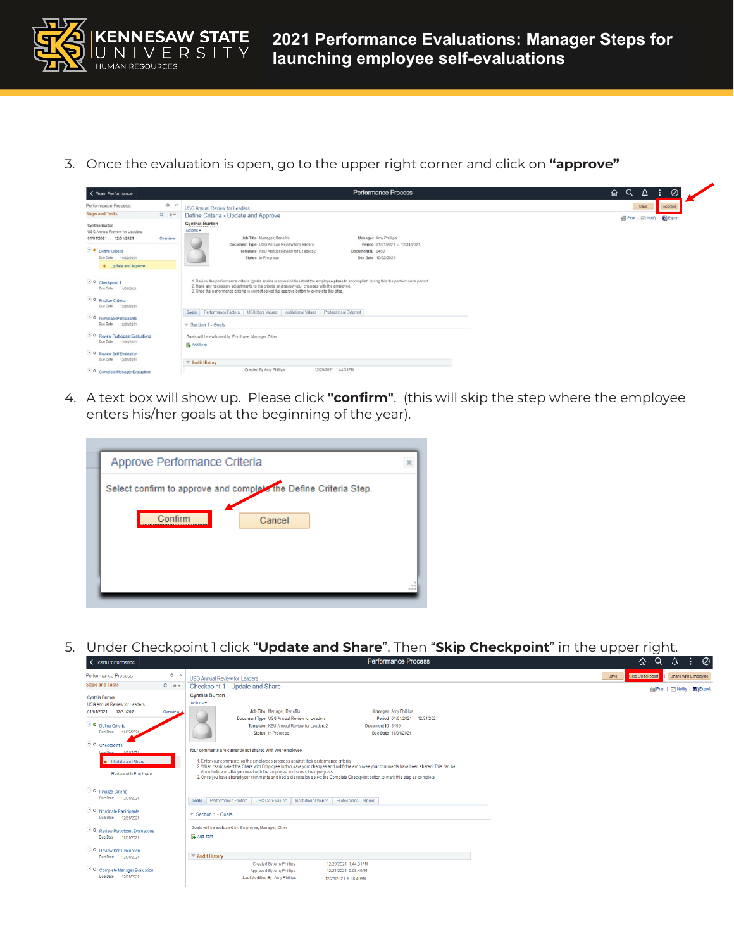

3. Once the evaluation is open, go to the upper right corner and click on **"approve"** 

| < Team Performance                                        |              | <b>Performance Process</b>                                                                                                                                                                                                                                                                                                                   | $\circledcirc$<br>$\alpha$<br>⋒<br>₽<br>÷ |
|-----------------------------------------------------------|--------------|----------------------------------------------------------------------------------------------------------------------------------------------------------------------------------------------------------------------------------------------------------------------------------------------------------------------------------------------|-------------------------------------------|
| <b>Performance Process</b>                                | $Q$ $\alpha$ | <b>USG Annual Review for Leaders</b>                                                                                                                                                                                                                                                                                                         | Save<br>Approve                           |
| <b>Steps and Tasks</b>                                    | $O$ $O$ $V$  | Define Criteria - Update and Approve                                                                                                                                                                                                                                                                                                         | Print   El Notify   Big Export            |
| Cynthia Burton<br>USG Annual Review for Leaders           |              | Cynthia Burton<br>Actions *                                                                                                                                                                                                                                                                                                                  |                                           |
| 01/01/2021 - 12/31/2021                                   | Overview     | Job Title Manager, Benefits<br>Manager Amy Phillips<br>Document Type USG Annual Review for Leaders<br>Period 01/01/2021 - 12/31/2021                                                                                                                                                                                                         |                                           |
| · Define Criteria                                         |              | Template KSU Annual Review for Leaders2<br>Document ID 8469                                                                                                                                                                                                                                                                                  |                                           |
| 10/02/2021<br>Due Date                                    |              | Due Date 10/02/2021<br>Status In Progress                                                                                                                                                                                                                                                                                                    |                                           |
| Update and Approve                                        |              |                                                                                                                                                                                                                                                                                                                                              |                                           |
| O Checkpoint 1<br>Due Date 11/01/2021                     |              | 1. Review the performance criteria (goals and/or responsibilities) that the employee plans to accomplish during this the performance period.<br>2. Make any necessary adjustments to the criteria and review your changes with the employee.<br>3. Once the performance criteria is correct select the approve button to complete this step. |                                           |
| • O Finalize Criteria<br>Due Date 12/01/2021              |              |                                                                                                                                                                                                                                                                                                                                              |                                           |
|                                                           |              | Goals Performance Factors USG Core Values Institutional Values Professional Dvlpmnt                                                                                                                                                                                                                                                          |                                           |
| O Nominate Participants<br>Due Date 12/31/2021            |              | Section 1 - Goals                                                                                                                                                                                                                                                                                                                            |                                           |
| • O Review Participant Evaluations<br>Due Date 12/01/2021 |              | Goals will be evaluated by: Employee, Manager, Other                                                                                                                                                                                                                                                                                         |                                           |
|                                                           |              | Add Item                                                                                                                                                                                                                                                                                                                                     |                                           |
| • O Review Self Evaluation<br>Due Date 12/01/2021         |              |                                                                                                                                                                                                                                                                                                                                              |                                           |
|                                                           |              | Audit History                                                                                                                                                                                                                                                                                                                                |                                           |
| • O Complete Manager Evaluation                           |              | 12/20/2021 1:44:31PM<br>Created By Amy Phillips                                                                                                                                                                                                                                                                                              |                                           |

4. A text box will show up. Please click **"confirm"**. (this will skip the step where the employee enters his/her goals at the beginning of the year).

| Approve Performance Criteria                                     |  |  |  |  |  |  |
|------------------------------------------------------------------|--|--|--|--|--|--|
| Select confirm to approve and complete the Define Criteria Step. |  |  |  |  |  |  |
| Confirm<br>Cancel                                                |  |  |  |  |  |  |
|                                                                  |  |  |  |  |  |  |
|                                                                  |  |  |  |  |  |  |
|                                                                  |  |  |  |  |  |  |

5. Under Checkpoint 1 click "**Update and Share**". Then "**Skip Checkpoint**" in the upper right.

| < Team Performance                                                                                                                        |           | Performance Process                                                                                                                                                                                                                                                                                                                                                                                                                                                                                             | 砎<br>$\Delta$<br>÷.<br>⊘<br>, Q'               |
|-------------------------------------------------------------------------------------------------------------------------------------------|-----------|-----------------------------------------------------------------------------------------------------------------------------------------------------------------------------------------------------------------------------------------------------------------------------------------------------------------------------------------------------------------------------------------------------------------------------------------------------------------------------------------------------------------|------------------------------------------------|
| <b>Performance Process</b>                                                                                                                | 0<        | USG Annual Review for Leaders                                                                                                                                                                                                                                                                                                                                                                                                                                                                                   | Skip Checkpoint<br>Share with Employee<br>Save |
| <b>Steps and Tasks</b>                                                                                                                    | $0 - 0 =$ | Checkpoint 1 - Update and Share                                                                                                                                                                                                                                                                                                                                                                                                                                                                                 | <b>@Print   ⊡ Notify   图 Export</b>            |
| <b>Cynthia Burton</b><br><b>USG Annual Review for Leaders</b><br>01/01/2021 - 12/31/2021<br>O O Define Criteria<br>Due Date<br>10/02/2021 | Overview  | <b>Cynthia Burton</b><br>Actions -<br>Job Title Manager, Benefits<br><b>Manager</b> Amy Phillips<br>Document Type USG Annual Review for Leaders<br>Period 01/01/2021 - 12/31/2021<br>Template KSU Annual Review for Leaders2<br>Document ID 8469<br>Status In Progress<br>Due Date 11/01/2021                                                                                                                                                                                                                   |                                                |
| O Checkpoint 1<br>Due Date 11/01/2021<br><b>O</b> Update and Share<br>Review with Employee                                                |           | Your comments are currently not shared with your employee<br>1. Enter your comments on the employees progress against their performance criteria.<br>2. When ready select the Share with Employee button save your changes and notify the employee your comments have been shared. This can be<br>done before or after you meet with the employee to discuss their progress.<br>3. Once you have shared your comments and had a discussion select the Complete Checkpoint button to mark this step as complete. |                                                |
| O Finalize Criteria<br>Due Date 12/01/2021                                                                                                |           | Goals Performance Factors<br><b>USG Core Values</b><br>Institutional Values<br><b>Professional Dvlpmnt</b>                                                                                                                                                                                                                                                                                                                                                                                                      |                                                |
| O Nominate Participants<br>Due Date 12/31/2021                                                                                            |           | $\blacktriangledown$ Section 1 - Goals                                                                                                                                                                                                                                                                                                                                                                                                                                                                          |                                                |
| • O Review Participant Evaluations<br>Due Date 12/01/2021                                                                                 |           | Goals will be evaluated by: Employee, Manager, Other<br>Add Item                                                                                                                                                                                                                                                                                                                                                                                                                                                |                                                |
| O Review Self Evaluation<br>Due Date 12/01/2021                                                                                           |           | ▼ Audit History                                                                                                                                                                                                                                                                                                                                                                                                                                                                                                 |                                                |
| O Complete Manager Evaluation<br>Due Date 12/01/2021                                                                                      |           | Created By Amy Phillips<br>12/20/2021 1:44:31PM<br>Approved By Amy Phillips<br>12/21/2021 9:08:40AM<br>Last Modified By Amy Phillips<br>12/21/2021 9:08:40AM                                                                                                                                                                                                                                                                                                                                                    |                                                |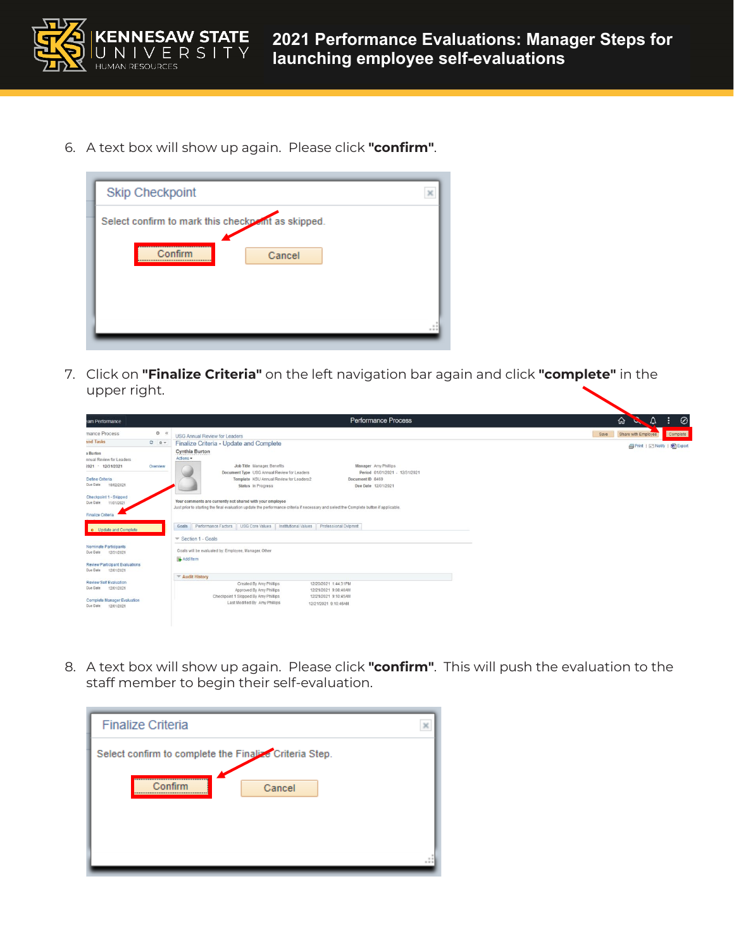

6. A text box will show up again. Please click **"confirm"**.



7. Click on **"Finalize Criteria"** on the left navigation bar again and click **"complete"** in the upper right.

| eam Performance                                              |                  | <b>Performance Process</b>                                                                                                                                                                          | ⋒<br>△<br>⊘                             |
|--------------------------------------------------------------|------------------|-----------------------------------------------------------------------------------------------------------------------------------------------------------------------------------------------------|-----------------------------------------|
| mance Process                                                | $O \quad \alpha$ | <b>USG Annual Review for Leaders</b>                                                                                                                                                                | Complete<br>Save<br>Share with Employee |
| and Tasks                                                    | $C = 0$          | Finalize Criteria - Update and Complete                                                                                                                                                             | <b>■Print   ■ Notify   ■ Export</b>     |
| a Burton<br>nnual Review for Leaders<br>2021 - 12/31/2021    | Overview         | Cynthia Burton<br>Actions -<br>Job Title Manager, Benefits<br>Manager Amy Phillips                                                                                                                  |                                         |
| Define Criteria<br>Due Date 10/02/2021                       |                  | Document Type USG Annual Review for Leaders<br>Period 01/01/2021 - 12/31/2021<br>Template KSU Annual Review for Leaders2<br>Document ID 8469<br>Status In Progress<br>Due Date 12/01/2021           |                                         |
| Checkpoint 1 - Skipped<br>11/01/2021<br>Due Date             |                  | Your comments are currently not shared with your employee<br>Just prior to starting the final evaluation update the performance criteria if necessary and select the Complete button if applicable. |                                         |
| <b>Finalize Criteria</b>                                     |                  |                                                                                                                                                                                                     |                                         |
| . Update and Complete                                        |                  | Professional Dvlpmnt<br>Goals Performance Factors USG Core Values Institutional Values                                                                                                              |                                         |
|                                                              |                  | $\blacktriangledown$ Section 1 - Goals                                                                                                                                                              |                                         |
| <b>Nominate Participants</b><br>Due Date 12/31/2021          |                  | Goals will be evaluated by: Employee, Manager, Other                                                                                                                                                |                                         |
| <b>Review Participant Evaluations</b><br>Due Date 12/01/2021 |                  | Add Item                                                                                                                                                                                            |                                         |
|                                                              |                  | ₩ Audit History                                                                                                                                                                                     |                                         |
| Review Self Evaluation<br>Due Date 12/01/2021                |                  | Created By Amy Phillips<br>12/20/2021 1:44:31PM<br>Approved By Amy Phillips<br>12/21/2021 9:08:40AM<br>Checkpoint 1 Skipped By Amy Phillips<br>12/21/2021 9:10:45AM                                 |                                         |
| <b>Complete Manager Evaluation</b><br>Due Date 12/01/2021    |                  | Last Modified By Amy Phillips<br>12/21/2021 9:10:46AM                                                                                                                                               |                                         |

8. A text box will show up again. Please click **"confirm"**. This will push the evaluation to the staff member to begin their self-evaluation.

| <b>Finalize Criteria</b>                               |  |  |  |  |
|--------------------------------------------------------|--|--|--|--|
| Select confirm to complete the Finalize Criteria Step. |  |  |  |  |
| Confirm<br>Cancel                                      |  |  |  |  |
|                                                        |  |  |  |  |